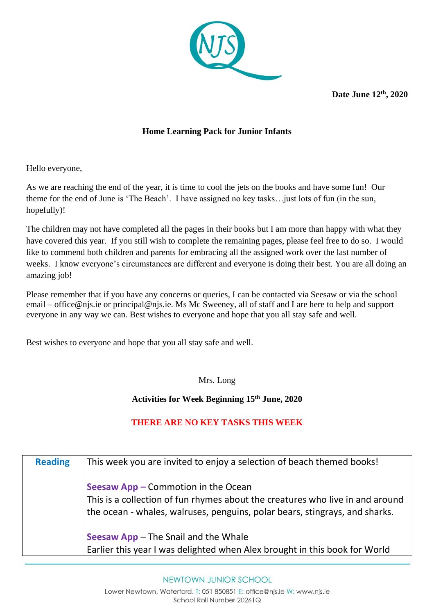

**Date June 12th, 2020**

## **Home Learning Pack for Junior Infants**

Hello everyone,

As we are reaching the end of the year, it is time to cool the jets on the books and have some fun! Our theme for the end of June is 'The Beach'. I have assigned no key tasks…just lots of fun (in the sun, hopefully)!

The children may not have completed all the pages in their books but I am more than happy with what they have covered this year. If you still wish to complete the remaining pages, please feel free to do so. I would like to commend both children and parents for embracing all the assigned work over the last number of weeks. I know everyone's circumstances are different and everyone is doing their best. You are all doing an amazing job!

Please remember that if you have any concerns or queries, I can be contacted via Seesaw or via the school email – office@njs.ie or principal@njs.ie. Ms Mc Sweeney, all of staff and I are here to help and support everyone in any way we can. Best wishes to everyone and hope that you all stay safe and well.

Best wishes to everyone and hope that you all stay safe and well.

Mrs. Long

**Activities for Week Beginning 15th June, 2020**

## **THERE ARE NO KEY TASKS THIS WEEK**

| <b>Reading</b> | This week you are invited to enjoy a selection of beach themed books!                                                                                                                               |
|----------------|-----------------------------------------------------------------------------------------------------------------------------------------------------------------------------------------------------|
|                | Seesaw App - Commotion in the Ocean<br>This is a collection of fun rhymes about the creatures who live in and around<br>the ocean - whales, walruses, penguins, polar bears, stingrays, and sharks. |
|                | Seesaw App - The Snail and the Whale<br>Earlier this year I was delighted when Alex brought in this book for World                                                                                  |

## NEWTOWN JUNIOR SCHOOL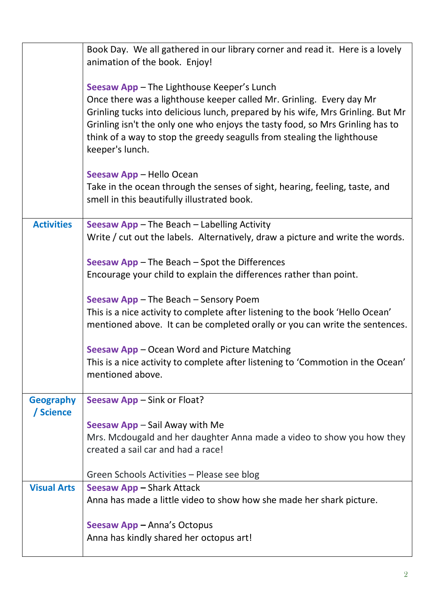|                               | Book Day. We all gathered in our library corner and read it. Here is a lovely<br>animation of the book. Enjoy!                                                                                                                                                                                                                                                                       |
|-------------------------------|--------------------------------------------------------------------------------------------------------------------------------------------------------------------------------------------------------------------------------------------------------------------------------------------------------------------------------------------------------------------------------------|
|                               | Seesaw App - The Lighthouse Keeper's Lunch<br>Once there was a lighthouse keeper called Mr. Grinling. Every day Mr<br>Grinling tucks into delicious lunch, prepared by his wife, Mrs Grinling. But Mr<br>Grinling isn't the only one who enjoys the tasty food, so Mrs Grinling has to<br>think of a way to stop the greedy seagulls from stealing the lighthouse<br>keeper's lunch. |
|                               | Seesaw App - Hello Ocean<br>Take in the ocean through the senses of sight, hearing, feeling, taste, and<br>smell in this beautifully illustrated book.                                                                                                                                                                                                                               |
| <b>Activities</b>             | Seesaw App - The Beach - Labelling Activity<br>Write / cut out the labels. Alternatively, draw a picture and write the words.                                                                                                                                                                                                                                                        |
|                               | Seesaw $App$ – The Beach – Spot the Differences<br>Encourage your child to explain the differences rather than point.                                                                                                                                                                                                                                                                |
|                               | Seesaw App - The Beach - Sensory Poem<br>This is a nice activity to complete after listening to the book 'Hello Ocean'<br>mentioned above. It can be completed orally or you can write the sentences.                                                                                                                                                                                |
|                               | Seesaw App - Ocean Word and Picture Matching<br>This is a nice activity to complete after listening to 'Commotion in the Ocean'<br>mentioned above.                                                                                                                                                                                                                                  |
| <b>Geography</b><br>/ Science | Seesaw App – Sink or Float?                                                                                                                                                                                                                                                                                                                                                          |
|                               | Seesaw App – Sail Away with Me<br>Mrs. Mcdougald and her daughter Anna made a video to show you how they<br>created a sail car and had a race!                                                                                                                                                                                                                                       |
|                               | Green Schools Activities - Please see blog                                                                                                                                                                                                                                                                                                                                           |
| <b>Visual Arts</b>            | Seesaw App – Shark Attack<br>Anna has made a little video to show how she made her shark picture.                                                                                                                                                                                                                                                                                    |
|                               | Seesaw App - Anna's Octopus<br>Anna has kindly shared her octopus art!                                                                                                                                                                                                                                                                                                               |